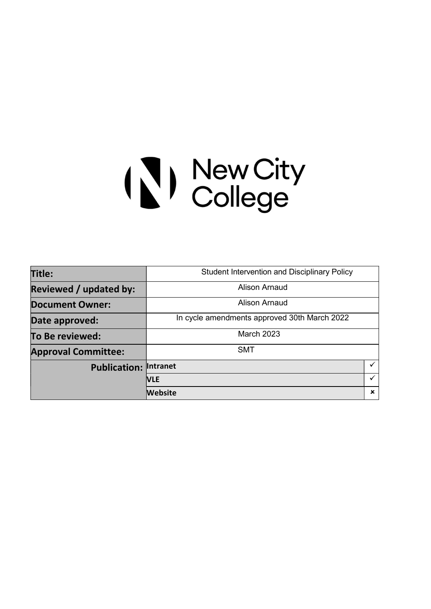# (\) New City<br>College

| Title:                        | <b>Student Intervention and Disciplinary Policy</b> |             |  |
|-------------------------------|-----------------------------------------------------|-------------|--|
| <b>Reviewed / updated by:</b> | <b>Alison Arnaud</b>                                |             |  |
| <b>Document Owner:</b>        | <b>Alison Arnaud</b>                                |             |  |
| Date approved:                | In cycle amendments approved 30th March 2022        |             |  |
| To Be reviewed:               | <b>March 2023</b>                                   |             |  |
| <b>Approval Committee:</b>    | <b>SMT</b>                                          |             |  |
| <b>Publication:</b>           | <b>Intranet</b>                                     |             |  |
|                               | <b>NLE</b>                                          | ✓           |  |
|                               | Website                                             | $\mathbf x$ |  |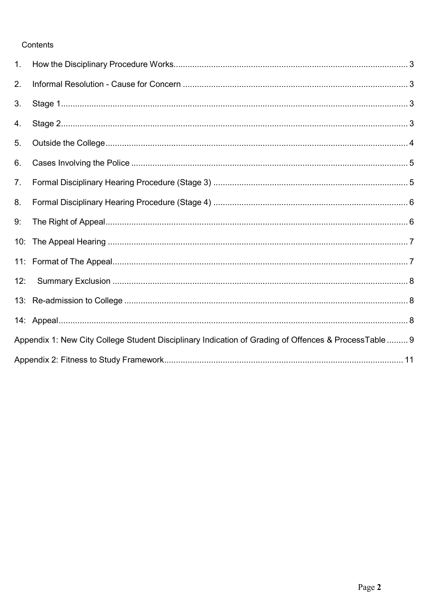# Contents

| 1.             |                                                                                                       |  |
|----------------|-------------------------------------------------------------------------------------------------------|--|
| 2.             |                                                                                                       |  |
| 3.             |                                                                                                       |  |
| 4.             |                                                                                                       |  |
| 5 <sub>1</sub> |                                                                                                       |  |
| 6.             |                                                                                                       |  |
| 7.             |                                                                                                       |  |
| 8.             |                                                                                                       |  |
| 9:             |                                                                                                       |  |
|                |                                                                                                       |  |
|                |                                                                                                       |  |
| 12:            |                                                                                                       |  |
|                |                                                                                                       |  |
|                |                                                                                                       |  |
|                | Appendix 1: New City College Student Disciplinary Indication of Grading of Offences & ProcessTable  9 |  |
|                |                                                                                                       |  |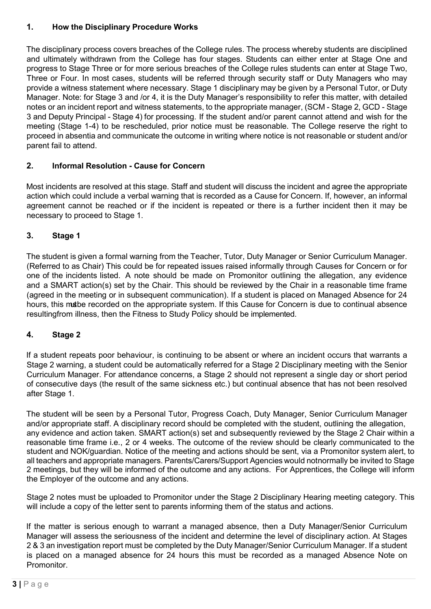# 1. How the Disciplinary Procedure Works

The disciplinary process covers breaches of the College rules. The process whereby students are disciplined and ultimately withdrawn from the College has four stages. Students can either enter at Stage One and progress to Stage Three or for more serious breaches of the College rules students can enter at Stage Two, Three or Four. In most cases, students will be referred through security staff or Duty Managers who may provide a witness statement where necessary. Stage 1 disciplinary may be given by a Personal Tutor, or Duty Manager. Note: for Stage 3 and /or 4, it is the Duty Manager's responsibility to refer this matter, with detailed notes or an incident report and witness statements, to the appropriate manager, (SCM - Stage 2, GCD - Stage 3 and Deputy Principal - Stage 4) for processing. If the student and/or parent cannot attend and wish for the meeting (Stage 1-4) to be rescheduled, prior notice must be reasonable. The College reserve the right to proceed in absentia and communicate the outcome in writing where notice is not reasonable or student and/or parent fail to attend.

# 2. Informal Resolution - Cause for Concern

Most incidents are resolved at this stage. Staff and student will discuss the incident and agree the appropriate action which could include a verbal warning that is recorded as a Cause for Concern. If, however, an informal agreement cannot be reached or if the incident is repeated or there is a further incident then it may be necessary to proceed to Stage 1.

# 3. Stage 1

The student is given a formal warning from the Teacher, Tutor, Duty Manager or Senior Curriculum Manager. (Referred to as Chair) This could be for repeated issues raised informally through Causes for Concern or for one of the incidents listed. A note should be made on Promonitor outlining the allegation, any evidence and a SMART action(s) set by the Chair. This should be reviewed by the Chair in a reasonable time frame (agreed in the meeting or in subsequent communication). If a student is placed on Managed Absence for 24 hours, this matbe recorded on the appropriate system. If this Cause for Concern is due to continual absence resulting from illness, then the Fitness to Study Policy should be implemented.

# 4. Stage 2

If a student repeats poor behaviour, is continuing to be absent or where an incident occurs that warrants a Stage 2 warning, a student could be automatically referred for a Stage 2 Disciplinary meeting with the Senior Curriculum Manager. For attendance concerns, a Stage 2 should not represent a single day or short period of consecutive days (the result of the same sickness etc.) but continual absence that has not been resolved after Stage 1.

The student will be seen by a Personal Tutor, Progress Coach, Duty Manager, Senior Curriculum Manager and/or appropriate staff. A disciplinary record should be completed with the student, outlining the allegation, any evidence and action taken. SMART action(s) set and subsequently reviewed by the Stage 2 Chair within a reasonable time frame i.e., 2 or 4 weeks. The outcome of the review should be clearly communicated to the student and NOK/guardian. Notice of the meeting and actions should be sent, via a Promonitor system alert, to all teachers and appropriate managers. Parents/Carers/Support Agencies would notnormally be invited to Stage 2 meetings, but they will be informed of the outcome and any actions. For Apprentices, the College will inform the Employer of the outcome and any actions.

Stage 2 notes must be uploaded to Promonitor under the Stage 2 Disciplinary Hearing meeting category. This will include a copy of the letter sent to parents informing them of the status and actions.

If the matter is serious enough to warrant a managed absence, then a Duty Manager/Senior Curriculum Manager will assess the seriousness of the incident and determine the level of disciplinary action. At Stages 2 & 3 an investigation report must be completed by the Duty Manager/Senior Curriculum Manager. If a student is placed on a managed absence for 24 hours this must be recorded as a managed Absence Note on **Promonitor**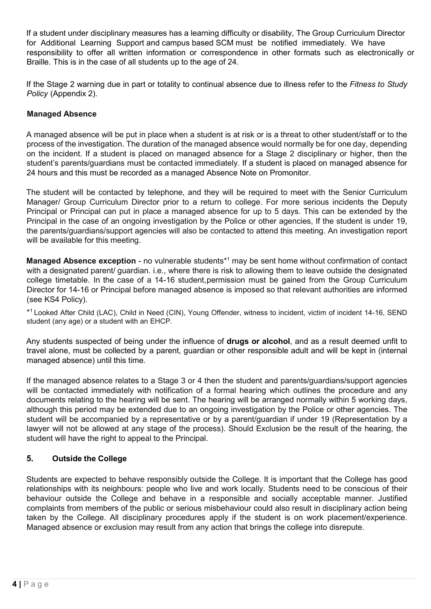If a student under disciplinary measures has a learning difficulty or disability, The Group Curriculum Director for Additional Learning Support and campus based SCM must be notified immediately. We have responsibility to offer all written information or correspondence in other formats such as electronically or Braille. This is in the case of all students up to the age of 24.

If the Stage 2 warning due in part or totality to continual absence due to illness refer to the Fitness to Study Policy (Appendix 2).

## Managed Absence

A managed absence will be put in place when a student is at risk or is a threat to other student/staff or to the process of the investigation. The duration of the managed absence would normally be for one day, depending on the incident. If a student is placed on managed absence for a Stage 2 disciplinary or higher, then the student's parents/guardians must be contacted immediately. If a student is placed on managed absence for 24 hours and this must be recorded as a managed Absence Note on Promonitor.

The student will be contacted by telephone, and they will be required to meet with the Senior Curriculum Manager/ Group Curriculum Director prior to a return to college. For more serious incidents the Deputy Principal or Principal can put in place a managed absence for up to 5 days. This can be extended by the Principal in the case of an ongoing investigation by the Police or other agencies, If the student is under 19, the parents/guardians/support agencies will also be contacted to attend this meeting. An investigation report will be available for this meeting.

Managed Absence exception - no vulnerable students<sup>\*1</sup> may be sent home without confirmation of contact with a designated parent/ guardian. i.e., where there is risk to allowing them to leave outside the designated college timetable. In the case of a 14-16 student, permission must be gained from the Group Curriculum Director for 14-16 or Principal before managed absence is imposed so that relevant authorities are informed (see KS4 Policy).

\* <sup>1</sup>Looked After Child (LAC), Child in Need (CIN), Young Offender, witness to incident, victim of incident 14-16, SEND student (any age) or a student with an EHCP.

Any students suspected of being under the influence of **drugs or alcohol**, and as a result deemed unfit to travel alone, must be collected by a parent, guardian or other responsible adult and will be kept in (internal managed absence) until this time.

If the managed absence relates to a Stage 3 or 4 then the student and parents/guardians/support agencies will be contacted immediately with notification of a formal hearing which outlines the procedure and any documents relating to the hearing will be sent. The hearing will be arranged normally within 5 working days, although this period may be extended due to an ongoing investigation by the Police or other agencies. The student will be accompanied by a representative or by a parent/guardian if under 19 (Representation by a lawyer will not be allowed at any stage of the process). Should Exclusion be the result of the hearing, the student will have the right to appeal to the Principal.

## 5. Outside the College

Students are expected to behave responsibly outside the College. It is important that the College has good relationships with its neighbours: people who live and work locally. Students need to be conscious of their behaviour outside the College and behave in a responsible and socially acceptable manner. Justified complaints from members of the public or serious misbehaviour could also result in disciplinary action being taken by the College. All disciplinary procedures apply if the student is on work placement/experience. Managed absence or exclusion may result from any action that brings the college into disrepute.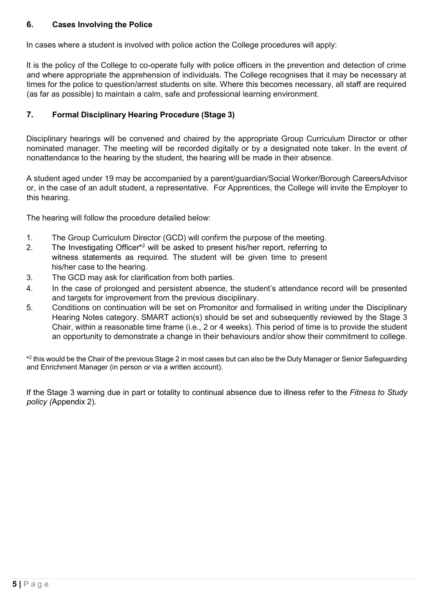## 6. Cases Involving the Police

In cases where a student is involved with police action the College procedures will apply:

It is the policy of the College to co-operate fully with police officers in the prevention and detection of crime and where appropriate the apprehension of individuals. The College recognises that it may be necessary at times for the police to question/arrest students on site. Where this becomes necessary, all staff are required (as far as possible) to maintain a calm, safe and professional learning environment.

# 7. Formal Disciplinary Hearing Procedure (Stage 3)

Disciplinary hearings will be convened and chaired by the appropriate Group Curriculum Director or other nominated manager. The meeting will be recorded digitally or by a designated note taker. In the event of nonattendance to the hearing by the student, the hearing will be made in their absence.

A student aged under 19 may be accompanied by a parent/guardian/Social Worker/Borough Careers Advisor or, in the case of an adult student, a representative. For Apprentices, the College will invite the Employer to this hearing.

The hearing will follow the procedure detailed below:

- 1. The Group Curriculum Director (GCD) will confirm the purpose of the meeting.
- 2. The Investigating Officer<sup>\*2</sup> will be asked to present his/her report, referring to witness statements as required. The student will be given time to present his/her case to the hearing.
- 3. The GCD may ask for clarification from both parties.
- 4. In the case of prolonged and persistent absence, the student's attendance record will be presented and targets for improvement from the previous disciplinary.
- 5. Conditions on continuation will be set on Promonitor and formalised in writing under the Disciplinary Hearing Notes category. SMART action(s) should be set and subsequently reviewed by the Stage 3 Chair, within a reasonable time frame (i.e., 2 or 4 weeks). This period of time is to provide the student an opportunity to demonstrate a change in their behaviours and/or show their commitment to college.

\* 2 this would be the Chair of the previous Stage 2 in most cases but can also be the Duty Manager or Senior Safeguarding and Enrichment Manager (in person or via a written account).

If the Stage 3 warning due in part or totality to continual absence due to illness refer to the Fitness to Study policy (Appendix 2).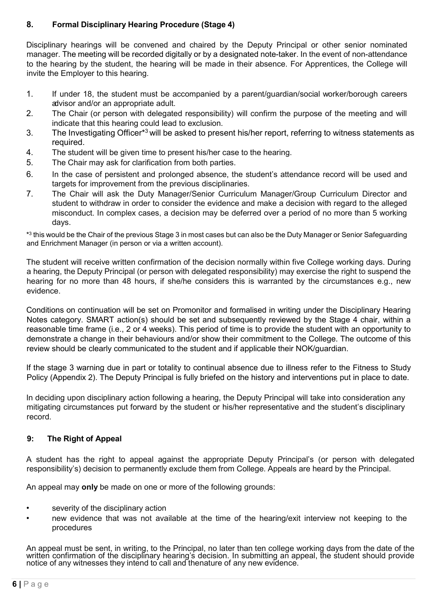# 8. Formal Disciplinary Hearing Procedure (Stage 4)

Disciplinary hearings will be convened and chaired by the Deputy Principal or other senior nominated manager. The meeting will be recorded digitally or by a designated note-taker. In the event of non-attendance to the hearing by the student, the hearing will be made in their absence. For Apprentices, the College will invite the Employer to this hearing.

- 1. If under 18, the student must be accompanied by a parent/guardian/social worker/borough careers advisor and/or an appropriate adult.
- 2. The Chair (or person with delegated responsibility) will confirm the purpose of the meeting and will indicate that this hearing could lead to exclusion.
- 3. The Investigating Officer\*<sup>3</sup>will be asked to present his/her report, referring to witness statements as required.
- 4. The student will be given time to present his/her case to the hearing.
- 5. The Chair may ask for clarification from both parties.
- 6. In the case of persistent and prolonged absence, the student's attendance record will be used and targets for improvement from the previous disciplinaries.
- 7. The Chair will ask the Duty Manager/Senior Curriculum Manager/Group Curriculum Director and student to withdraw in order to consider the evidence and make a decision with regard to the alleged misconduct. In complex cases, a decision may be deferred over a period of no more than 5 working days.

\* 3 this would be the Chair of the previous Stage 3 in most cases but can also be the Duty Manager or Senior Safeguarding and Enrichment Manager (in person or via a written account).

The student will receive written confirmation of the decision normally within five College working days. During a hearing, the Deputy Principal (or person with delegated responsibility) may exercise the right to suspend the hearing for no more than 48 hours, if she/he considers this is warranted by the circumstances e.g., new evidence.

Conditions on continuation will be set on Promonitor and formalised in writing under the Disciplinary Hearing Notes category. SMART action(s) should be set and subsequently reviewed by the Stage 4 chair, within a reasonable time frame (i.e., 2 or 4 weeks). This period of time is to provide the student with an opportunity to demonstrate a change in their behaviours and/or show their commitment to the College. The outcome of this review should be clearly communicated to the student and if applicable their NOK/guardian.

If the stage 3 warning due in part or totality to continual absence due to illness refer to the Fitness to Study Policy (Appendix 2). The Deputy Principal is fully briefed on the history and interventions put in place to date.

In deciding upon disciplinary action following a hearing, the Deputy Principal will take into consideration any mitigating circumstances put forward by the student or his/her representative and the student's disciplinary record.

## 9: The Right of Appeal

A student has the right to appeal against the appropriate Deputy Principal's (or person with delegated responsibility's) decision to permanently exclude them from College. Appeals are heard by the Principal.

An appeal may only be made on one or more of the following grounds:

- severity of the disciplinary action
- new evidence that was not available at the time of the hearing/exit interview not keeping to the procedures

An appeal must be sent, in writing, to the Principal, no later than ten college working days from the date of the written confirmation of the disciplinary hearing's decision. In submitting an appeal, the student should provide notice of any witnesses they intend to call and the nature of any new evidence.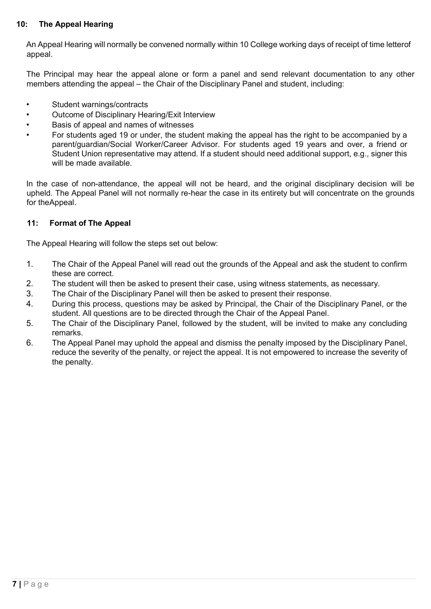## 10: The Appeal Hearing

An Appeal Hearing will normally be convened normally within 10 College working days of receipt of time letter of appeal.

The Principal may hear the appeal alone or form a panel and send relevant documentation to any other members attending the appeal – the Chair of the Disciplinary Panel and student, including:

- Student warnings/contracts
- Outcome of Disciplinary Hearing/Exit Interview
- Basis of appeal and names of witnesses
- For students aged 19 or under, the student making the appeal has the right to be accompanied by a parent/guardian/Social Worker/Career Advisor. For students aged 19 years and over, a friend or Student Union representative may attend. If a student should need additional support, e.g., signer this will be made available.

In the case of non-attendance, the appeal will not be heard, and the original disciplinary decision will be upheld. The Appeal Panel will not normally re-hear the case in its entirety but will concentrate on the grounds for the Appeal.

## 11: Format of The Appeal

The Appeal Hearing will follow the steps set out below:

- 1. The Chair of the Appeal Panel will read out the grounds of the Appeal and ask the student to confirm these are correct.
- 2. The student will then be asked to present their case, using witness statements, as necessary.
- 3. The Chair of the Disciplinary Panel will then be asked to present their response.
- 4. During this process, questions may be asked by Principal, the Chair of the Disciplinary Panel, or the student. All questions are to be directed through the Chair of the Appeal Panel.
- 5. The Chair of the Disciplinary Panel, followed by the student, will be invited to make any concluding remarks.
- 6. The Appeal Panel may uphold the appeal and dismiss the penalty imposed by the Disciplinary Panel, reduce the severity of the penalty, or reject the appeal. It is not empowered to increase the severity of the penalty.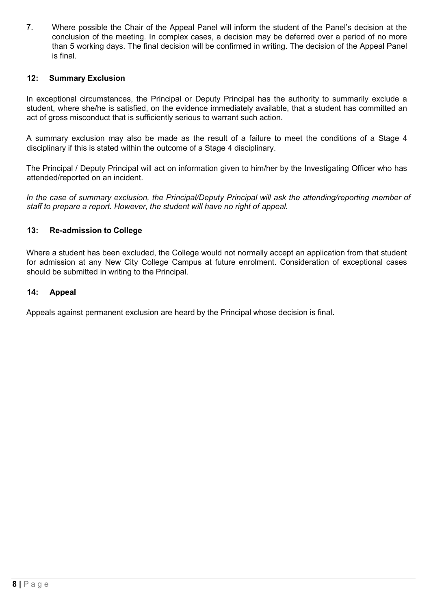7. Where possible the Chair of the Appeal Panel will inform the student of the Panel's decision at the conclusion of the meeting. In complex cases, a decision may be deferred over a period of no more than 5 working days. The final decision will be confirmed in writing. The decision of the Appeal Panel is final.

#### 12: Summary Exclusion

In exceptional circumstances, the Principal or Deputy Principal has the authority to summarily exclude a student, where she/he is satisfied, on the evidence immediately available, that a student has committed an act of gross misconduct that is sufficiently serious to warrant such action.

A summary exclusion may also be made as the result of a failure to meet the conditions of a Stage 4 disciplinary if this is stated within the outcome of a Stage 4 disciplinary.

The Principal / Deputy Principal will act on information given to him/her by the Investigating Officer who has attended/reported on an incident.

In the case of summary exclusion, the Principal/Deputy Principal will ask the attending/reporting member of staff to prepare a report. However, the student will have no right of appeal.

#### 13: Re-admission to College

Where a student has been excluded, the College would not normally accept an application from that student for admission at any New City College Campus at future enrolment. Consideration of exceptional cases should be submitted in writing to the Principal.

#### 14: Appeal

Appeals against permanent exclusion are heard by the Principal whose decision is final.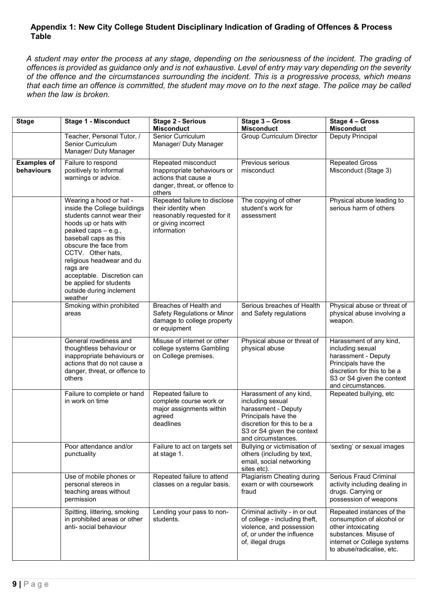#### Appendix 1: New City College Student Disciplinary Indication of Grading of Offences & Process Table

A student may enter the process at any stage, depending on the seriousness of the incident. The grading of offences is provided as guidance only and is not exhaustive. Level of entry may vary depending on the severity of the offence and the circumstances surrounding the incident. This is a progressive process, which means that each time an offence is committed, the student may move on to the next stage. The police may be called when the law is broken.

| <b>Stage</b>                     | <b>Stage 1 - Misconduct</b>                                                                                                                                                                                                                                                                                                                           | <b>Stage 2 - Serious</b><br><b>Misconduct</b>                                                                            | Stage 3 - Gross<br><b>Misconduct</b>                                                                                                                                         | Stage 4 - Gross<br><b>Misconduct</b>                                                                                                                                         |
|----------------------------------|-------------------------------------------------------------------------------------------------------------------------------------------------------------------------------------------------------------------------------------------------------------------------------------------------------------------------------------------------------|--------------------------------------------------------------------------------------------------------------------------|------------------------------------------------------------------------------------------------------------------------------------------------------------------------------|------------------------------------------------------------------------------------------------------------------------------------------------------------------------------|
|                                  | Teacher, Personal Tutor, /<br>Senior Curriculum<br>Manager/ Duty Manager                                                                                                                                                                                                                                                                              | Senior Curriculum<br>Manager/ Duty Manager                                                                               | Group Curriculum Director                                                                                                                                                    | Deputy Principal                                                                                                                                                             |
| <b>Examples of</b><br>behaviours | Failure to respond<br>positively to informal<br>warnings or advice.                                                                                                                                                                                                                                                                                   | Repeated misconduct<br>Inappropriate behaviours or<br>actions that cause a<br>danger, threat, or offence to<br>others    | Previous serious<br>misconduct                                                                                                                                               | <b>Repeated Gross</b><br>Misconduct (Stage 3)                                                                                                                                |
|                                  | Wearing a hood or hat -<br>inside the College buildings<br>students cannot wear their<br>hoods up or hats with<br>peaked caps - e.g.,<br>baseball caps as this<br>obscure the face from<br>CCTV. Other hats,<br>religious headwear and du<br>rags are<br>acceptable. Discretion can<br>be applied for students<br>outside during inclement<br>weather | Repeated failure to disclose<br>their identity when<br>reasonably requested for it<br>or giving incorrect<br>information | The copying of other<br>student's work for<br>assessment                                                                                                                     | Physical abuse leading to<br>serious harm of others                                                                                                                          |
|                                  | Smoking within prohibited<br>areas                                                                                                                                                                                                                                                                                                                    | Breaches of Health and<br>Safety Regulations or Minor<br>damage to college property<br>or equipment                      | Serious breaches of Health<br>and Safety regulations                                                                                                                         | Physical abuse or threat of<br>physical abuse involving a<br>weapon.                                                                                                         |
|                                  | General rowdiness and<br>thoughtless behaviour or<br>inappropriate behaviours or<br>actions that do not cause a<br>danger, threat, or offence to<br>others                                                                                                                                                                                            | Misuse of internet or other<br>college systems Gambling<br>on College premises.                                          | Physical abuse or threat of<br>physical abuse                                                                                                                                | Harassment of any kind,<br>including sexual<br>harassment - Deputy<br>Principals have the<br>discretion for this to be a<br>S3 or S4 given the context<br>and circumstances. |
|                                  | Failure to complete or hand<br>in work on time                                                                                                                                                                                                                                                                                                        | Repeated failure to<br>complete course work or<br>major assignments within<br>agreed<br>deadlines                        | Harassment of any kind,<br>including sexual<br>harassment - Deputy<br>Principals have the<br>discretion for this to be a<br>S3 or S4 given the context<br>and circumstances. | Repeated bullying, etc                                                                                                                                                       |
|                                  | Poor attendance and/or<br>punctuality                                                                                                                                                                                                                                                                                                                 | Failure to act on targets set<br>at stage 1.                                                                             | Bullying or victimisation of<br>others (including by text,<br>email, social networking<br>sites etc).                                                                        | 'sexting' or sexual images                                                                                                                                                   |
|                                  | Use of mobile phones or<br>personal stereos in<br>teaching areas without<br>permission                                                                                                                                                                                                                                                                | Repeated failure to attend<br>classes on a regular basis.                                                                | <b>Plagiarism Cheating during</b><br>exam or with coursework<br>fraud                                                                                                        | Serious Fraud Criminal<br>activity including dealing in<br>drugs. Carrying or<br>possession of weapons                                                                       |
|                                  | Spitting, littering, smoking<br>in prohibited areas or other<br>anti-social behaviour                                                                                                                                                                                                                                                                 | Lending your pass to non-<br>students.                                                                                   | Criminal activity - in or out<br>of college - including theft,<br>violence, and possession<br>of, or under the influence<br>of, illegal drugs                                | Repeated instances of the<br>consumption of alcohol or<br>other intoxicating<br>substances. Misuse of<br>internet or College systems<br>to abuse/radicalise, etc.            |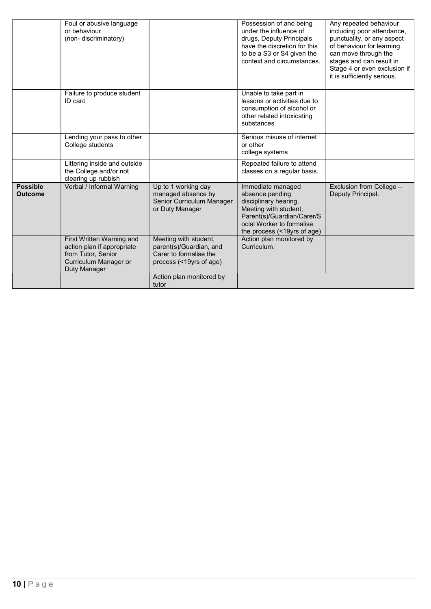|                                   | Foul or abusive language<br>or behaviour<br>(non-discriminatory)                                                       |                                                                                                       | Possession of and being<br>under the influence of<br>drugs, Deputy Principals<br>have the discretion for this<br>to be a S3 or S4 given the<br>context and circumstances.        | Any repeated behaviour<br>including poor attendance,<br>punctuality, or any aspect<br>of behaviour for learning<br>can move through the<br>stages and can result in<br>Stage 4 or even exclusion if<br>it is sufficiently serious. |
|-----------------------------------|------------------------------------------------------------------------------------------------------------------------|-------------------------------------------------------------------------------------------------------|----------------------------------------------------------------------------------------------------------------------------------------------------------------------------------|------------------------------------------------------------------------------------------------------------------------------------------------------------------------------------------------------------------------------------|
|                                   | Failure to produce student<br>ID card                                                                                  |                                                                                                       | Unable to take part in<br>lessons or activities due to<br>consumption of alcohol or<br>other related intoxicating<br>substances                                                  |                                                                                                                                                                                                                                    |
|                                   | Lending your pass to other<br>College students                                                                         |                                                                                                       | Serious misuse of internet<br>or other<br>college systems                                                                                                                        |                                                                                                                                                                                                                                    |
|                                   | Littering inside and outside<br>the College and/or not<br>clearing up rubbish                                          |                                                                                                       | Repeated failure to attend<br>classes on a regular basis.                                                                                                                        |                                                                                                                                                                                                                                    |
| <b>Possible</b><br><b>Outcome</b> | Verbal / Informal Warning                                                                                              | Up to 1 working day<br>managed absence by<br>Senior Curriculum Manager<br>or Duty Manager             | Immediate managed<br>absence pending<br>disciplinary hearing.<br>Meeting with student,<br>Parent(s)/Guardian/Carer/S<br>ocial Worker to formalise<br>the process (<19yrs of age) | Exclusion from College -<br>Deputy Principal.                                                                                                                                                                                      |
|                                   | First Written Warning and<br>action plan if appropriate<br>from Tutor, Senior<br>Curriculum Manager or<br>Duty Manager | Meeting with student,<br>parent(s)/Guardian, and<br>Carer to formalise the<br>process (<19yrs of age) | Action plan monitored by<br>Curriculum.                                                                                                                                          |                                                                                                                                                                                                                                    |
|                                   |                                                                                                                        | Action plan monitored by<br>tutor                                                                     |                                                                                                                                                                                  |                                                                                                                                                                                                                                    |